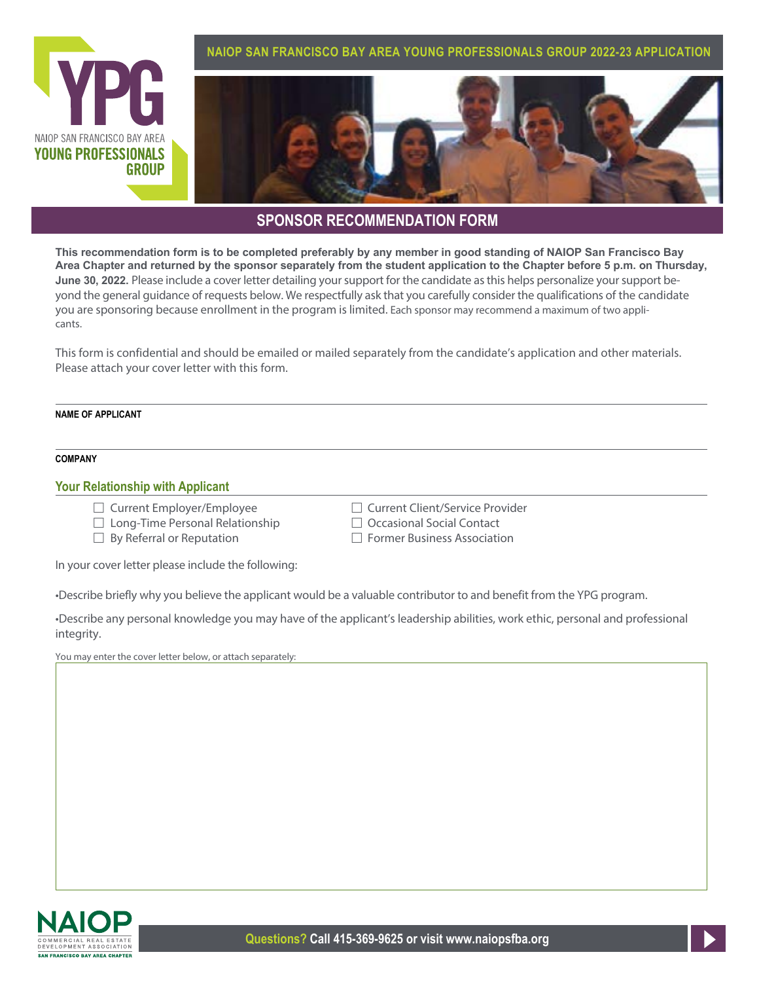

## **SPONSOR RECOMMENDATION FORM**

**This recommendation form is to be completed preferably by any member in good standing of NAIOP San Francisco Bay Area Chapter and returned by the sponsor separately from the student application to the Chapter before 5 p.m. on Thursday, June 30, 2022.** Please include a cover letter detailing your support for the candidate as this helps personalize your support beyond the general guidance of requests below. We respectfully ask that you carefully consider the qualifications of the candidate you are sponsoring because enrollment in the program is limited. Each sponsor may recommend a maximum of two applicants.

This form is confidential and should be emailed or mailed separately from the candidate's application and other materials. Please attach your cover letter with this form.

### **NAME OF APPLICANT**

### **COMPANY**

### **Your Relationship with Applicant**

- □ Current Employer/Employee Fig. The Current Client/Service Provider
- $\Box$  Long-Time Personal Relationship  $\Box$  Occasional Social Contact
- $\Box$  By Referral or Reputation  $\Box$  Former Business Association
- 
- -

In your cover letter please include the following:

•Describe briefly why you believe the applicant would be a valuable contributor to and benefit from the YPG program.

•Describe any personal knowledge you may have of the applicant's leadership abilities, work ethic, personal and professional integrity.

You may enter the cover letter below, or attach separately: